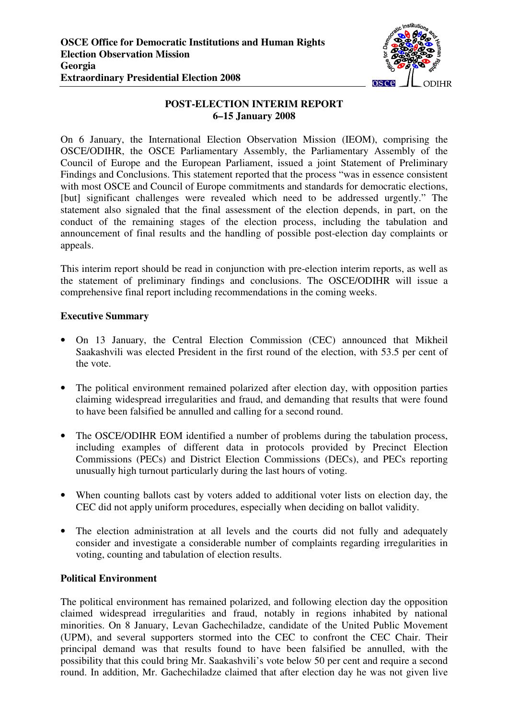

# **POST-ELECTION INTERIM REPORT 6–15 January 2008**

On 6 January, the International Election Observation Mission (IEOM), comprising the OSCE/ODIHR, the OSCE Parliamentary Assembly, the Parliamentary Assembly of the Council of Europe and the European Parliament, issued a joint Statement of Preliminary Findings and Conclusions. This statement reported that the process "was in essence consistent with most OSCE and Council of Europe commitments and standards for democratic elections, [but] significant challenges were revealed which need to be addressed urgently." The statement also signaled that the final assessment of the election depends, in part, on the conduct of the remaining stages of the election process, including the tabulation and announcement of final results and the handling of possible post-election day complaints or appeals.

This interim report should be read in conjunction with pre-election interim reports, as well as the statement of preliminary findings and conclusions. The OSCE/ODIHR will issue a comprehensive final report including recommendations in the coming weeks.

## **Executive Summary**

- On 13 January, the Central Election Commission (CEC) announced that Mikheil Saakashvili was elected President in the first round of the election, with 53.5 per cent of the vote.
- The political environment remained polarized after election day, with opposition parties claiming widespread irregularities and fraud, and demanding that results that were found to have been falsified be annulled and calling for a second round.
- The OSCE/ODIHR EOM identified a number of problems during the tabulation process, including examples of different data in protocols provided by Precinct Election Commissions (PECs) and District Election Commissions (DECs), and PECs reporting unusually high turnout particularly during the last hours of voting.
- When counting ballots cast by voters added to additional voter lists on election day, the CEC did not apply uniform procedures, especially when deciding on ballot validity.
- The election administration at all levels and the courts did not fully and adequately consider and investigate a considerable number of complaints regarding irregularities in voting, counting and tabulation of election results.

## **Political Environment**

The political environment has remained polarized, and following election day the opposition claimed widespread irregularities and fraud, notably in regions inhabited by national minorities. On 8 January, Levan Gachechiladze, candidate of the United Public Movement (UPM), and several supporters stormed into the CEC to confront the CEC Chair. Their principal demand was that results found to have been falsified be annulled, with the possibility that this could bring Mr. Saakashvili's vote below 50 per cent and require a second round. In addition, Mr. Gachechiladze claimed that after election day he was not given live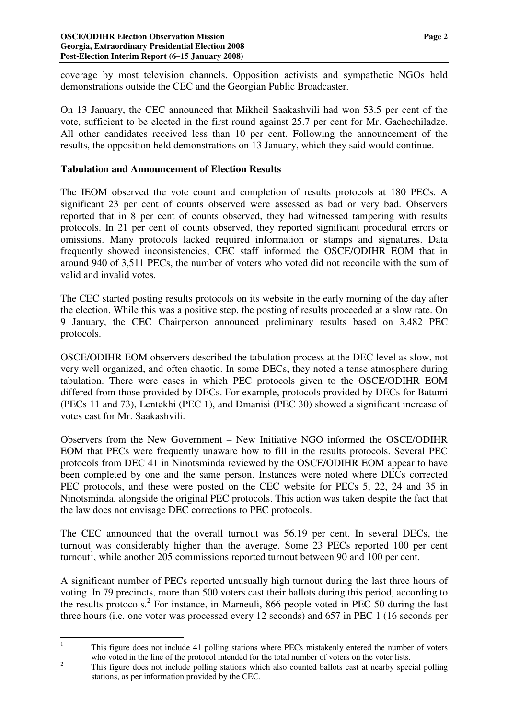coverage by most television channels. Opposition activists and sympathetic NGOs held demonstrations outside the CEC and the Georgian Public Broadcaster.

On 13 January, the CEC announced that Mikheil Saakashvili had won 53.5 per cent of the vote, sufficient to be elected in the first round against 25.7 per cent for Mr. Gachechiladze. All other candidates received less than 10 per cent. Following the announcement of the results, the opposition held demonstrations on 13 January, which they said would continue.

## **Tabulation and Announcement of Election Results**

The IEOM observed the vote count and completion of results protocols at 180 PECs. A significant 23 per cent of counts observed were assessed as bad or very bad. Observers reported that in 8 per cent of counts observed, they had witnessed tampering with results protocols. In 21 per cent of counts observed, they reported significant procedural errors or omissions. Many protocols lacked required information or stamps and signatures. Data frequently showed inconsistencies; CEC staff informed the OSCE/ODIHR EOM that in around 940 of 3,511 PECs, the number of voters who voted did not reconcile with the sum of valid and invalid votes.

The CEC started posting results protocols on its website in the early morning of the day after the election. While this was a positive step, the posting of results proceeded at a slow rate. On 9 January, the CEC Chairperson announced preliminary results based on 3,482 PEC protocols.

OSCE/ODIHR EOM observers described the tabulation process at the DEC level as slow, not very well organized, and often chaotic. In some DECs, they noted a tense atmosphere during tabulation. There were cases in which PEC protocols given to the OSCE/ODIHR EOM differed from those provided by DECs. For example, protocols provided by DECs for Batumi (PECs 11 and 73), Lentekhi (PEC 1), and Dmanisi (PEC 30) showed a significant increase of votes cast for Mr. Saakashvili.

Observers from the New Government – New Initiative NGO informed the OSCE/ODIHR EOM that PECs were frequently unaware how to fill in the results protocols. Several PEC protocols from DEC 41 in Ninotsminda reviewed by the OSCE/ODIHR EOM appear to have been completed by one and the same person. Instances were noted where DECs corrected PEC protocols, and these were posted on the CEC website for PECs 5, 22, 24 and 35 in Ninotsminda, alongside the original PEC protocols. This action was taken despite the fact that the law does not envisage DEC corrections to PEC protocols.

The CEC announced that the overall turnout was 56.19 per cent. In several DECs, the turnout was considerably higher than the average. Some 23 PECs reported 100 per cent turnout<sup>1</sup>, while another 205 commissions reported turnout between 90 and 100 per cent.

A significant number of PECs reported unusually high turnout during the last three hours of voting. In 79 precincts, more than 500 voters cast their ballots during this period, according to the results protocols. 2 For instance, in Marneuli, 866 people voted in PEC 50 during the last three hours (i.e. one voter was processed every 12 seconds) and 657 in PEC 1 (16 seconds per

<sup>&</sup>lt;sup>1</sup> This figure does not include 41 polling stations where PECs mistakenly entered the number of voters who voted in the line of the protocol intended for the total number of voters on the voter lists.

<sup>&</sup>lt;sup>2</sup><br>This figure does not include polling stations which also counted ballots cast at nearby special polling stations, as per information provided by the CEC.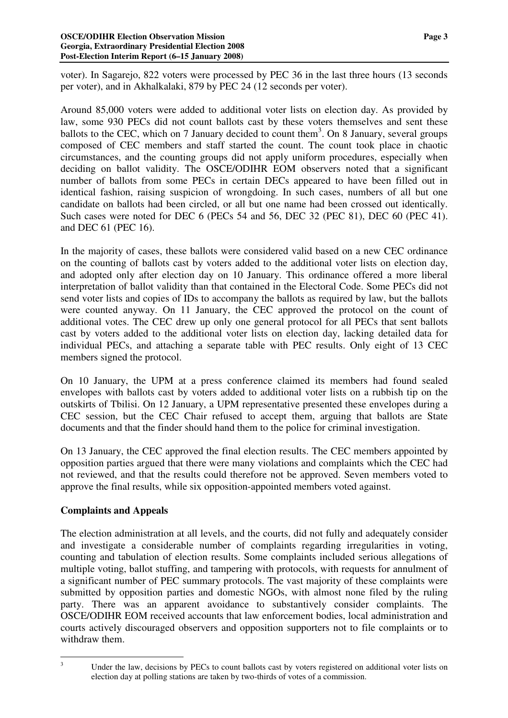#### **OSCE/ODIHR Election Observation Mission Page 3 Georgia, Extraordinary Presidential Election 2008 Post-Election Interim Report (6–15 January 2008)**

voter). In Sagarejo, 822 voters were processed by PEC 36 in the last three hours (13 seconds per voter), and in Akhalkalaki, 879 by PEC 24 (12 seconds per voter).

Around 85,000 voters were added to additional voter lists on election day. As provided by law, some 930 PECs did not count ballots cast by these voters themselves and sent these ballots to the CEC, which on 7 January decided to count them<sup>3</sup>. On 8 January, several groups composed of CEC members and staff started the count. The count took place in chaotic circumstances, and the counting groups did not apply uniform procedures, especially when deciding on ballot validity. The OSCE/ODIHR EOM observers noted that a significant number of ballots from some PECs in certain DECs appeared to have been filled out in identical fashion, raising suspicion of wrongdoing. In such cases, numbers of all but one candidate on ballots had been circled, or all but one name had been crossed out identically. Such cases were noted for DEC 6 (PECs 54 and 56, DEC 32 (PEC 81), DEC 60 (PEC 41). and DEC 61 (PEC 16).

In the majority of cases, these ballots were considered valid based on a new CEC ordinance on the counting of ballots cast by voters added to the additional voter lists on election day, and adopted only after election day on 10 January. This ordinance offered a more liberal interpretation of ballot validity than that contained in the Electoral Code. Some PECs did not send voter lists and copies of IDs to accompany the ballots as required by law, but the ballots were counted anyway. On 11 January, the CEC approved the protocol on the count of additional votes. The CEC drew up only one general protocol for all PECs that sent ballots cast by voters added to the additional voter lists on election day, lacking detailed data for individual PECs, and attaching a separate table with PEC results. Only eight of 13 CEC members signed the protocol.

On 10 January, the UPM at a press conference claimed its members had found sealed envelopes with ballots cast by voters added to additional voter lists on a rubbish tip on the outskirts of Tbilisi. On 12 January, a UPM representative presented these envelopes during a CEC session, but the CEC Chair refused to accept them, arguing that ballots are State documents and that the finder should hand them to the police for criminal investigation.

On 13 January, the CEC approved the final election results. The CEC members appointed by opposition parties argued that there were many violations and complaints which the CEC had not reviewed, and that the results could therefore not be approved. Seven members voted to approve the final results, while six opposition-appointed members voted against.

## **Complaints and Appeals**

The election administration at all levels, and the courts, did not fully and adequately consider and investigate a considerable number of complaints regarding irregularities in voting, counting and tabulation of election results. Some complaints included serious allegations of multiple voting, ballot stuffing, and tampering with protocols, with requests for annulment of a significant number of PEC summary protocols. The vast majority of these complaints were submitted by opposition parties and domestic NGOs, with almost none filed by the ruling party. There was an apparent avoidance to substantively consider complaints. The OSCE/ODIHR EOM received accounts that law enforcement bodies, local administration and courts actively discouraged observers and opposition supporters not to file complaints or to withdraw them.

<sup>&</sup>lt;sup>3</sup> Under the law, decisions by PECs to count ballots cast by voters registered on additional voter lists on election day at polling stations are taken by two-thirds of votes of a commission.